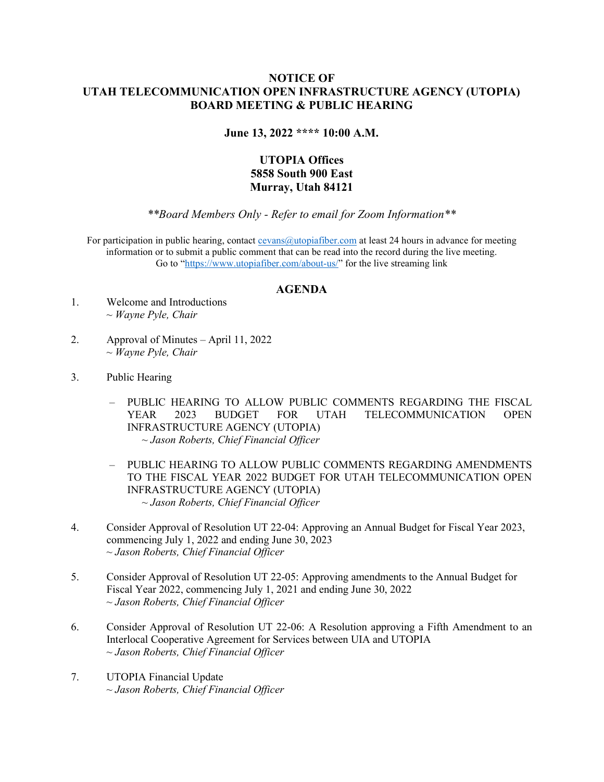## NOTICE OF UTAH TELECOMMUNICATION OPEN INFRASTRUCTURE AGENCY (UTOPIA) BOARD MEETING & PUBLIC HEARING

June 13, 2022 \*\*\*\* 10:00 A.M.

## UTOPIA Offices 5858 South 900 East Murray, Utah 84121

\*\*Board Members Only - Refer to email for Zoom Information\*\*

For participation in public hearing, contact cevans@utopiafiber.com at least 24 hours in advance for meeting information or to submit a public comment that can be read into the record during the live meeting. Go to "https://www.utopiafiber.com/about-us/" for the live streaming link

## AGENDA

- 1. Welcome and Introductions  $\sim$  Wayne Pyle, Chair
- 2. Approval of Minutes April 11, 2022  $\sim$  Wayne Pyle, Chair
- 3. Public Hearing
	- PUBLIC HEARING TO ALLOW PUBLIC COMMENTS REGARDING THE FISCAL YEAR 2023 BUDGET FOR UTAH TELECOMMUNICATION OPEN INFRASTRUCTURE AGENCY (UTOPIA) ~ Jason Roberts, Chief Financial Officer
	- PUBLIC HEARING TO ALLOW PUBLIC COMMENTS REGARDING AMENDMENTS TO THE FISCAL YEAR 2022 BUDGET FOR UTAH TELECOMMUNICATION OPEN INFRASTRUCTURE AGENCY (UTOPIA) ~ Jason Roberts, Chief Financial Officer
- 4. Consider Approval of Resolution UT 22-04: Approving an Annual Budget for Fiscal Year 2023, commencing July 1, 2022 and ending June 30, 2023 ~ Jason Roberts, Chief Financial Officer
- 5. Consider Approval of Resolution UT 22-05: Approving amendments to the Annual Budget for Fiscal Year 2022, commencing July 1, 2021 and ending June 30, 2022 ~ Jason Roberts, Chief Financial Officer
- 6. Consider Approval of Resolution UT 22-06: A Resolution approving a Fifth Amendment to an Interlocal Cooperative Agreement for Services between UIA and UTOPIA ~ Jason Roberts, Chief Financial Officer
- 7. UTOPIA Financial Update ~ Jason Roberts, Chief Financial Officer